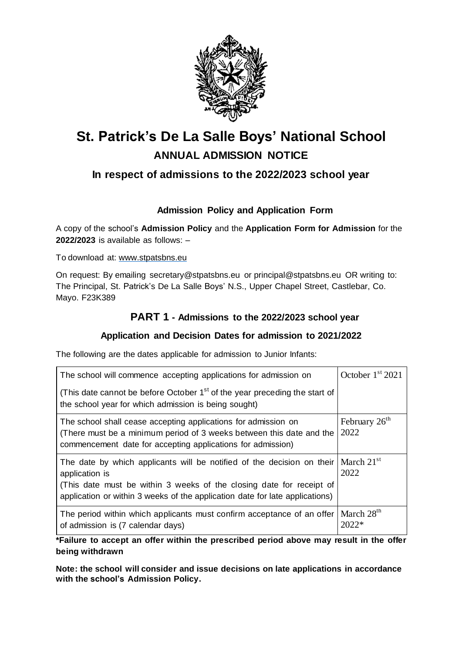

# **St. Patrick's De La Salle Boys' National School ANNUAL ADMISSION NOTICE**

## **In respect of admissions to the 2022/2023 school year**

## **Admission Policy and Application Form**

A copy of the school's **Admission Policy** and the **Application Form for Admission** for the **2022/2023** is available as follows: –

To download at: www.stpatsbns.eu

On request: By emailing secretary@stpatsbns.eu or [principal@stpatsbns.eu](mailto:principal@stpatsbns.eu) OR writing to: The Principal, St. Patrick's De La Salle Boys' N.S., Upper Chapel Street, Castlebar, Co. Mayo. F23K389

## **PART 1 - Admissions to the 2022/2023 school year**

#### **Application and Decision Dates for admission to 2021/2022**

The following are the dates applicable for admission to Junior Infants:

| The school will commence accepting applications for admission on                                                                                                                                                                                 | October $1st 2021$                     |
|--------------------------------------------------------------------------------------------------------------------------------------------------------------------------------------------------------------------------------------------------|----------------------------------------|
| (This date cannot be before October 1 <sup>st</sup> of the year preceding the start of<br>the school year for which admission is being sought)                                                                                                   |                                        |
| The school shall cease accepting applications for admission on<br>(There must be a minimum period of 3 weeks between this date and the<br>commencement date for accepting applications for admission)                                            | February 26 <sup>th</sup><br>2022      |
| The date by which applicants will be notified of the decision on their<br>application is<br>(This date must be within 3 weeks of the closing date for receipt of<br>application or within 3 weeks of the application date for late applications) | $\vert$ March 21 <sup>st</sup><br>2022 |
| The period within which applicants must confirm acceptance of an offer<br>of admission is (7 calendar days)                                                                                                                                      | March 28 <sup>th</sup><br>$2022*$      |

**\*Failure to accept an offer within the prescribed period above may result in the offer being withdrawn**

**Note: the school will consider and issue decisions on late applications in accordance with the school's Admission Policy.**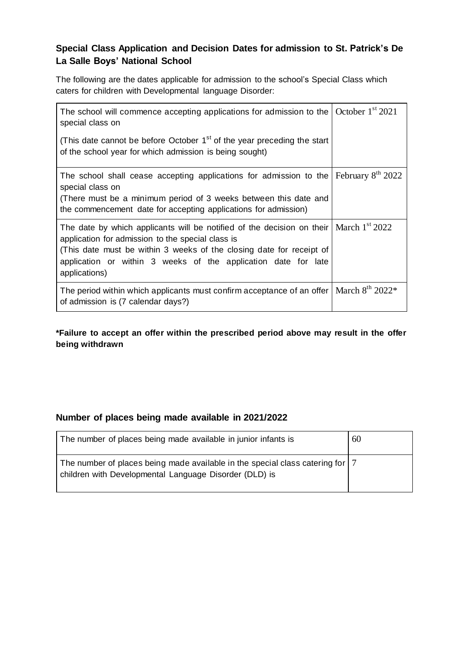## **Special Class Application and Decision Dates for admission to St. Patrick's De La Salle Boys' National School**

The following are the dates applicable for admission to the school's Special Class which caters for children with Developmental language Disorder:

| The school will commence accepting applications for admission to the $\sqrt{\frac{C_{\text{O}}}{C_{\text{O}}}$ October $1^{\text{st}} 2021$<br>special class on                                                                                                                                           |                     |
|-----------------------------------------------------------------------------------------------------------------------------------------------------------------------------------------------------------------------------------------------------------------------------------------------------------|---------------------|
| (This date cannot be before October 1 <sup>st</sup> of the year preceding the start<br>of the school year for which admission is being sought)                                                                                                                                                            |                     |
| The school shall cease accepting applications for admission to the<br>special class on<br>(There must be a minimum period of 3 weeks between this date and<br>the commencement date for accepting applications for admission)                                                                             | February $8th 2022$ |
| The date by which applicants will be notified of the decision on their   March $1st 2022$<br>application for admission to the special class is<br>(This date must be within 3 weeks of the closing date for receipt of<br>application or within 3 weeks of the application date for late<br>applications) |                     |
| The period within which applicants must confirm acceptance of an offer   March $8th 2022*$<br>of admission is (7 calendar days?)                                                                                                                                                                          |                     |

**\*Failure to accept an offer within the prescribed period above may result in the offer being withdrawn**

#### **Number of places being made available in 2021/2022**

| The number of places being made available in junior infants is                                                                            | 60 |
|-------------------------------------------------------------------------------------------------------------------------------------------|----|
| The number of places being made available in the special class catering for   7<br>children with Developmental Language Disorder (DLD) is |    |